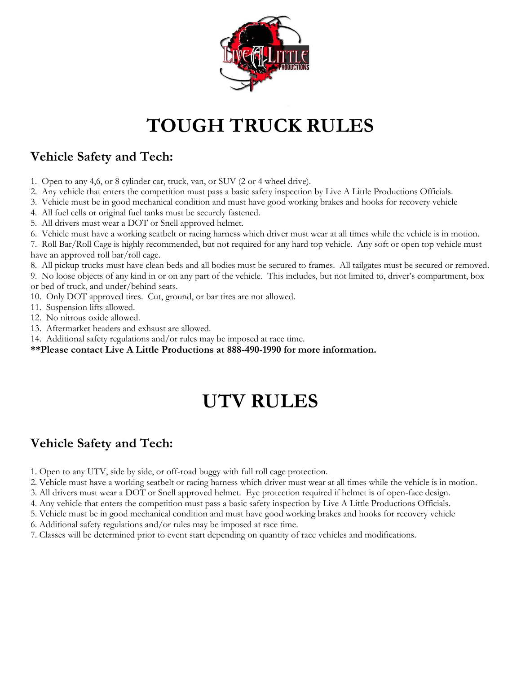

# **TOUGH TRUCK RULES**

### **Vehicle Safety and Tech:**

- 1. Open to any 4,6, or 8 cylinder car, truck, van, or SUV (2 or 4 wheel drive).
- 2. Any vehicle that enters the competition must pass a basic safety inspection by Live A Little Productions Officials.
- 3. Vehicle must be in good mechanical condition and must have good working brakes and hooks for recovery vehicle
- 4. All fuel cells or original fuel tanks must be securely fastened.
- 5. All drivers must wear a DOT or Snell approved helmet.
- 6. Vehicle must have a working seatbelt or racing harness which driver must wear at all times while the vehicle is in motion.

7. Roll Bar/Roll Cage is highly recommended, but not required for any hard top vehicle. Any soft or open top vehicle must have an approved roll bar/roll cage.

8. All pickup trucks must have clean beds and all bodies must be secured to frames. All tailgates must be secured or removed.

9. No loose objects of any kind in or on any part of the vehicle. This includes, but not limited to, driver's compartment, box or bed of truck, and under/behind seats.

- 10. Only DOT approved tires. Cut, ground, or bar tires are not allowed.
- 11. Suspension lifts allowed.
- 12. No nitrous oxide allowed.
- 13. Aftermarket headers and exhaust are allowed.
- 14. Additional safety regulations and/or rules may be imposed at race time.
- **\*\*Please contact Live A Little Productions at 888-490-1990 for more information.**

## **UTV RULES**

#### **Vehicle Safety and Tech:**

- 1. Open to any UTV, side by side, or off-road buggy with full roll cage protection.
- 2. Vehicle must have a working seatbelt or racing harness which driver must wear at all times while the vehicle is in motion.
- 3. All drivers must wear a DOT or Snell approved helmet. Eye protection required if helmet is of open-face design.
- 4. Any vehicle that enters the competition must pass a basic safety inspection by Live A Little Productions Officials.
- 5. Vehicle must be in good mechanical condition and must have good working brakes and hooks for recovery vehicle
- 6. Additional safety regulations and/or rules may be imposed at race time.
- 7. Classes will be determined prior to event start depending on quantity of race vehicles and modifications.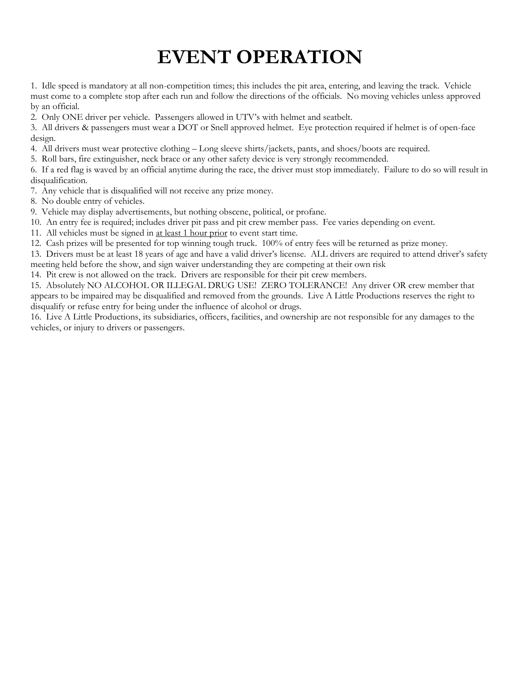### **EVENT OPERATION**

1. Idle speed is mandatory at all non-competition times; this includes the pit area, entering, and leaving the track. Vehicle must come to a complete stop after each run and follow the directions of the officials. No moving vehicles unless approved by an official.

2. Only ONE driver per vehicle. Passengers allowed in UTV's with helmet and seatbelt.

3. All drivers & passengers must wear a DOT or Snell approved helmet. Eye protection required if helmet is of open-face design.

4. All drivers must wear protective clothing – Long sleeve shirts/jackets, pants, and shoes/boots are required.

5. Roll bars, fire extinguisher, neck brace or any other safety device is very strongly recommended.

6. If a red flag is waved by an official anytime during the race, the driver must stop immediately. Failure to do so will result in disqualification.

7. Any vehicle that is disqualified will not receive any prize money.

8. No double entry of vehicles.

9. Vehicle may display advertisements, but nothing obscene, political, or profane.

10. An entry fee is required; includes driver pit pass and pit crew member pass. Fee varies depending on event.

11. All vehicles must be signed in at least 1 hour prior to event start time.

12. Cash prizes will be presented for top winning tough truck. 100% of entry fees will be returned as prize money.

13. Drivers must be at least 18 years of age and have a valid driver's license. ALL drivers are required to attend driver's safety meeting held before the show, and sign waiver understanding they are competing at their own risk

14. Pit crew is not allowed on the track. Drivers are responsible for their pit crew members.

15. Absolutely NO ALCOHOL OR ILLEGAL DRUG USE! ZERO TOLERANCE! Any driver OR crew member that appears to be impaired may be disqualified and removed from the grounds. Live A Little Productions reserves the right to disqualify or refuse entry for being under the influence of alcohol or drugs.

16. Live A Little Productions, its subsidiaries, officers, facilities, and ownership are not responsible for any damages to the vehicles, or injury to drivers or passengers.